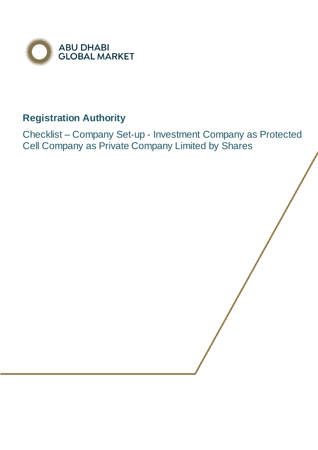

## **Registration Authority**

Checklist – Company Set-up - Investment Company as Protected Cell Company as Private Company Limited by Shares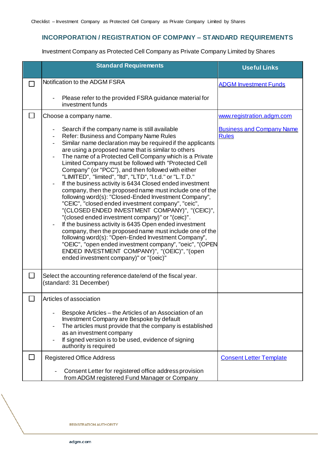## **INCORPORATION / REGISTRATION OF COMPANY – STANDARD REQUIREMENTS**

Investment Company as Protected Cell Company as Private Company Limited by Shares

|                          | <b>Standard Requirements</b>                                                                                                                                                                                                                                                                                                                                                                                                                                                                                                                                                                                                                                                                                                                                                                                                                                                                                                                                                                                                                                                                                                                                                                           | <b>Useful Links</b>                              |
|--------------------------|--------------------------------------------------------------------------------------------------------------------------------------------------------------------------------------------------------------------------------------------------------------------------------------------------------------------------------------------------------------------------------------------------------------------------------------------------------------------------------------------------------------------------------------------------------------------------------------------------------------------------------------------------------------------------------------------------------------------------------------------------------------------------------------------------------------------------------------------------------------------------------------------------------------------------------------------------------------------------------------------------------------------------------------------------------------------------------------------------------------------------------------------------------------------------------------------------------|--------------------------------------------------|
|                          | Notification to the ADGM FSRA                                                                                                                                                                                                                                                                                                                                                                                                                                                                                                                                                                                                                                                                                                                                                                                                                                                                                                                                                                                                                                                                                                                                                                          | <b>ADGM Investment Funds</b>                     |
|                          | Please refer to the provided FSRA guidance material for<br>$\qquad \qquad \blacksquare$<br>investment funds                                                                                                                                                                                                                                                                                                                                                                                                                                                                                                                                                                                                                                                                                                                                                                                                                                                                                                                                                                                                                                                                                            |                                                  |
|                          | Choose a company name.                                                                                                                                                                                                                                                                                                                                                                                                                                                                                                                                                                                                                                                                                                                                                                                                                                                                                                                                                                                                                                                                                                                                                                                 | www.registration.adgm.com                        |
|                          | Search if the company name is still available<br>Refer: Business and Company Name Rules<br>$\qquad \qquad \blacksquare$<br>Similar name declaration may be required if the applicants<br>$\qquad \qquad -$<br>are using a proposed name that is similar to others<br>The name of a Protected Cell Company which is a Private<br>$\blacksquare$<br>Limited Company must be followed with "Protected Cell<br>Company" (or "PCC"), and then followed with either<br>"LIMITED", "limited", "ltd", "LTD", "l.t.d." or "L.T.D."<br>If the business activity is 6434 Closed ended investment<br>company, then the proposed name must include one of the<br>following word(s): "Closed-Ended Investment Company",<br>"CEIC", "closed ended investment company", "ceic",<br>"(CLOSED ENDED INVESTMENT COMPANY)", "(CEIC)",<br>"(closed ended investment company)" or "(ceic)".<br>If the business activity is 6435 Open ended investment<br>company, then the proposed name must include one of the<br>following word(s): "Open-Ended Investment Company",<br>"OEIC", "open ended investment company", "oeic", "(OPEN<br>ENDED INVESTMENT COMPANY)", "(OEIC)", "(open<br>ended investment company)" or "(oeic)" | <b>Business and Company Name</b><br><b>Rules</b> |
| $\overline{\phantom{a}}$ | Select the accounting reference date/end of the fiscal year.<br>(standard: 31 December)                                                                                                                                                                                                                                                                                                                                                                                                                                                                                                                                                                                                                                                                                                                                                                                                                                                                                                                                                                                                                                                                                                                |                                                  |
| $\Box$                   | Articles of association                                                                                                                                                                                                                                                                                                                                                                                                                                                                                                                                                                                                                                                                                                                                                                                                                                                                                                                                                                                                                                                                                                                                                                                |                                                  |
|                          | Bespoke Articles – the Articles of an Association of an<br>Investment Company are Bespoke by default<br>The articles must provide that the company is established<br>as an investment company<br>If signed version is to be used, evidence of signing<br>authority is required                                                                                                                                                                                                                                                                                                                                                                                                                                                                                                                                                                                                                                                                                                                                                                                                                                                                                                                         |                                                  |
|                          | <b>Registered Office Address</b>                                                                                                                                                                                                                                                                                                                                                                                                                                                                                                                                                                                                                                                                                                                                                                                                                                                                                                                                                                                                                                                                                                                                                                       | <b>Consent Letter Template</b>                   |
|                          | Consent Letter for registered office address provision<br>from ADGM registered Fund Manager or Company                                                                                                                                                                                                                                                                                                                                                                                                                                                                                                                                                                                                                                                                                                                                                                                                                                                                                                                                                                                                                                                                                                 |                                                  |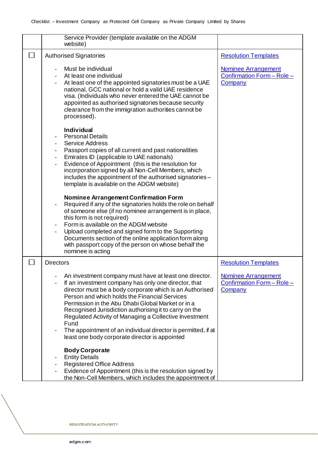|               | Service Provider (template available on the ADGM<br>website)                                                                                                                                                                                                                                                                                                                                                                                                                                                                    |                                                                     |
|---------------|---------------------------------------------------------------------------------------------------------------------------------------------------------------------------------------------------------------------------------------------------------------------------------------------------------------------------------------------------------------------------------------------------------------------------------------------------------------------------------------------------------------------------------|---------------------------------------------------------------------|
| $\mathcal{L}$ | <b>Authorised Signatories</b>                                                                                                                                                                                                                                                                                                                                                                                                                                                                                                   | <b>Resolution Templates</b>                                         |
|               | Must be individual<br>At least one individual<br>At least one of the appointed signatories must be a UAE<br>national, GCC national or hold a valid UAE residence<br>visa. (Individuals who never entered the UAE cannot be<br>appointed as authorised signatories because security<br>clearance from the immigration authorities cannot be<br>processed).                                                                                                                                                                       | <b>Nominee Arrangement</b><br>Confirmation Form - Role -<br>Company |
|               | <b>Individual</b><br><b>Personal Details</b><br><b>Service Address</b><br>Passport copies of all current and past nationalities<br>Emirates ID (applicable to UAE nationals)<br>Evidence of Appointment (this is the resolution for<br>incorporation signed by all Non-Cell Members, which<br>includes the appointment of the authorised signatories -<br>template is available on the ADGM website)                                                                                                                            |                                                                     |
|               | <b>Nominee Arrangement Confirmation Form</b><br>Required if any of the signatories holds the role on behalf<br>of someone else (if no nominee arrangement is in place,<br>this form is not required)<br>Form is available on the ADGM website<br>Upload completed and signed form to the Supporting<br>Documents section of the online application form along<br>with passport copy of the person on whose behalf the<br>nominee is acting                                                                                      |                                                                     |
|               | <b>Directors</b>                                                                                                                                                                                                                                                                                                                                                                                                                                                                                                                | <b>Resolution Templates</b>                                         |
|               | An investment company must have at least one director.<br>If an investment company has only one director, that<br>director must be a body corporate which is an Authorised<br>Person and which holds the Financial Services<br>Permission in the Abu Dhabi Global Market or in a<br>Recognised Jurisdiction authorising it to carry on the<br>Regulated Activity of Managing a Collective Investment<br>Fund<br>The appointment of an individual director is permitted, if at<br>least one body corporate director is appointed | <b>Nominee Arrangement</b><br>Confirmation Form - Role -<br>Company |
|               | <b>Body Corporate</b><br><b>Entity Details</b><br><b>Registered Office Address</b><br>Evidence of Appointment (this is the resolution signed by<br>the Non-Cell Members, which includes the appointment of                                                                                                                                                                                                                                                                                                                      |                                                                     |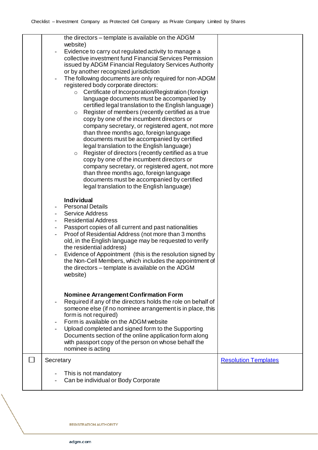| the directors - template is available on the ADGM<br>website)<br>Evidence to carry out regulated activity to manage a<br>collective investment fund Financial Services Permission<br>issued by ADGM Financial Regulatory Services Authority<br>or by another recognized jurisdiction<br>The following documents are only required for non-ADGM<br>$\qquad \qquad \blacksquare$<br>registered body corporate directors:<br>Certificate of Incorporation/Registration (foreign<br>$\circ$<br>language documents must be accompanied by<br>certified legal translation to the English language)<br>Register of members (recently certified as a true<br>$\circ$<br>copy by one of the incumbent directors or<br>company secretary, or registered agent, not more<br>than three months ago, foreign language<br>documents must be accompanied by certified<br>legal translation to the English language)<br>Register of directors (recently certified as a true<br>$\circ$<br>copy by one of the incumbent directors or<br>company secretary, or registered agent, not more<br>than three months ago, foreign language<br>documents must be accompanied by certified<br>legal translation to the English language) |                             |
|----------------------------------------------------------------------------------------------------------------------------------------------------------------------------------------------------------------------------------------------------------------------------------------------------------------------------------------------------------------------------------------------------------------------------------------------------------------------------------------------------------------------------------------------------------------------------------------------------------------------------------------------------------------------------------------------------------------------------------------------------------------------------------------------------------------------------------------------------------------------------------------------------------------------------------------------------------------------------------------------------------------------------------------------------------------------------------------------------------------------------------------------------------------------------------------------------------------|-----------------------------|
| <b>Individual</b><br><b>Personal Details</b><br><b>Service Address</b><br><b>Residential Address</b><br>Passport copies of all current and past nationalities<br>Proof of Residential Address (not more than 3 months<br>old, in the English language may be requested to verify<br>the residential address)<br>Evidence of Appointment (this is the resolution signed by<br>the Non-Cell Members, which includes the appointment of<br>the directors - template is available on the ADGM<br>website)                                                                                                                                                                                                                                                                                                                                                                                                                                                                                                                                                                                                                                                                                                          |                             |
| Nominee Arrangement Confirmation Form<br>Required if any of the directors holds the role on behalf of<br>someone else (if no nominee arrangement is in place, this<br>form is not required)<br>Form is available on the ADGM website<br>Upload completed and signed form to the Supporting<br>Documents section of the online application form along<br>with passport copy of the person on whose behalf the<br>nominee is acting                                                                                                                                                                                                                                                                                                                                                                                                                                                                                                                                                                                                                                                                                                                                                                              |                             |
| Secretary<br>This is not mandatory<br>Can be individual or Body Corporate                                                                                                                                                                                                                                                                                                                                                                                                                                                                                                                                                                                                                                                                                                                                                                                                                                                                                                                                                                                                                                                                                                                                      | <b>Resolution Templates</b> |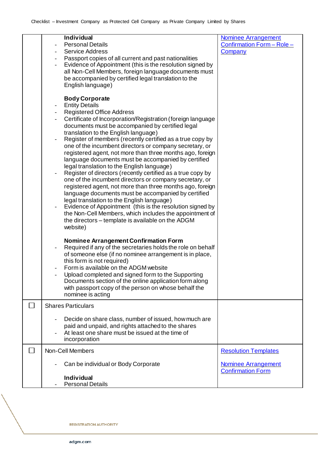| <b>Individual</b>                                           | <b>Nominee Arrangement</b>  |
|-------------------------------------------------------------|-----------------------------|
| <b>Personal Details</b>                                     | Confirmation Form - Role -  |
| <b>Service Address</b>                                      | Company                     |
| Passport copies of all current and past nationalities       |                             |
| Evidence of Appointment (this is the resolution signed by   |                             |
| all Non-Cell Members, foreign language documents must       |                             |
| be accompanied by certified legal translation to the        |                             |
| English language)                                           |                             |
|                                                             |                             |
| <b>Body Corporate</b>                                       |                             |
|                                                             |                             |
| <b>Entity Details</b>                                       |                             |
| <b>Registered Office Address</b>                            |                             |
| Certificate of Incorporation/Registration (foreign language |                             |
| documents must be accompanied by certified legal            |                             |
| translation to the English language)                        |                             |
| Register of members (recently certified as a true copy by   |                             |
| one of the incumbent directors or company secretary, or     |                             |
| registered agent, not more than three months ago, foreign   |                             |
| language documents must be accompanied by certified         |                             |
| legal translation to the English language)                  |                             |
| Register of directors (recently certified as a true copy by |                             |
|                                                             |                             |
| one of the incumbent directors or company secretary, or     |                             |
| registered agent, not more than three months ago, foreign   |                             |
| language documents must be accompanied by certified         |                             |
| legal translation to the English language)                  |                             |
| Evidence of Appointment (this is the resolution signed by   |                             |
| the Non-Cell Members, which includes the appointment of     |                             |
| the directors – template is available on the ADGM           |                             |
| website)                                                    |                             |
|                                                             |                             |
| Nominee Arrangement Confirmation Form                       |                             |
|                                                             |                             |
| Required if any of the secretaries holds the role on behalf |                             |
| of someone else (if no nominee arrangement is in place,     |                             |
| this form is not required)                                  |                             |
| Form is available on the ADGM website                       |                             |
| Upload completed and signed form to the Supporting          |                             |
| Documents section of the online application form along      |                             |
| with passport copy of the person on whose behalf the        |                             |
| nominee is acting                                           |                             |
|                                                             |                             |
| <b>Shares Particulars</b>                                   |                             |
|                                                             |                             |
| Decide on share class, number of issued, how much are       |                             |
| paid and unpaid, and rights attached to the shares          |                             |
| At least one share must be issued at the time of            |                             |
| incorporation                                               |                             |
|                                                             |                             |
| Non-Cell Members                                            | <b>Resolution Templates</b> |
|                                                             |                             |
| Can be individual or Body Corporate                         | <b>Nominee Arrangement</b>  |
|                                                             | <b>Confirmation Form</b>    |
| <b>Individual</b>                                           |                             |
| <b>Personal Details</b>                                     |                             |
|                                                             |                             |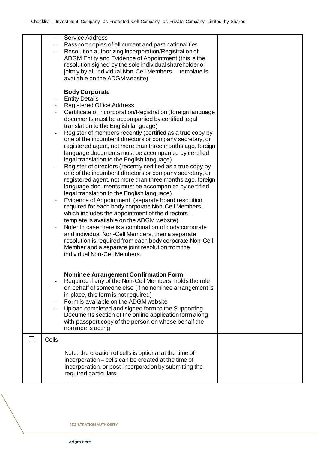|       | <b>Service Address</b>                                                                                               |  |
|-------|----------------------------------------------------------------------------------------------------------------------|--|
|       | Passport copies of all current and past nationalities                                                                |  |
|       | Resolution authorizing Incorporation/Registration of                                                                 |  |
|       | ADGM Entity and Evidence of Appointment (this is the                                                                 |  |
|       | resolution signed by the sole individual shareholder or                                                              |  |
|       | jointly by all individual Non-Cell Members - template is<br>available on the ADGM website)                           |  |
|       |                                                                                                                      |  |
|       | <b>Body Corporate</b>                                                                                                |  |
|       | <b>Entity Details</b>                                                                                                |  |
|       | <b>Registered Office Address</b>                                                                                     |  |
|       | Certificate of Incorporation/Registration (foreign language                                                          |  |
|       | documents must be accompanied by certified legal                                                                     |  |
|       | translation to the English language)                                                                                 |  |
|       | Register of members recently (certified as a true copy by                                                            |  |
|       | one of the incumbent directors or company secretary, or                                                              |  |
|       | registered agent, not more than three months ago, foreign                                                            |  |
|       | language documents must be accompanied by certified                                                                  |  |
|       | legal translation to the English language)                                                                           |  |
|       | Register of directors (recently certified as a true copy by                                                          |  |
|       | one of the incumbent directors or company secretary, or<br>registered agent, not more than three months ago, foreign |  |
|       | language documents must be accompanied by certified                                                                  |  |
|       | legal translation to the English language)                                                                           |  |
|       | Evidence of Appointment (separate board resolution                                                                   |  |
|       | required for each body corporate Non-Cell Members,                                                                   |  |
|       | which includes the appointment of the directors -                                                                    |  |
|       | template is available on the ADGM website)                                                                           |  |
|       | Note: In case there is a combination of body corporate                                                               |  |
|       | and individual Non-Cell Members, then a separate                                                                     |  |
|       | resolution is required from each body corporate Non-Cell                                                             |  |
|       | Member and a separate joint resolution from the                                                                      |  |
|       | individual Non-Cell Members.                                                                                         |  |
|       |                                                                                                                      |  |
|       | Nominee Arrangement Confirmation Form                                                                                |  |
|       | Required if any of the Non-Cell Members holds the role                                                               |  |
|       | on behalf of someone else (if no nominee arrangement is                                                              |  |
|       | in place, this form is not required)                                                                                 |  |
|       | Form is available on the ADGM website                                                                                |  |
|       | Upload completed and signed form to the Supporting                                                                   |  |
|       | Documents section of the online application form along                                                               |  |
|       | with passport copy of the person on whose behalf the                                                                 |  |
|       | nominee is acting                                                                                                    |  |
| Cells |                                                                                                                      |  |
|       |                                                                                                                      |  |
|       | Note: the creation of cells is optional at the time of                                                               |  |
|       | incorporation – cells can be created at the time of                                                                  |  |
|       | incorporation, or post-incorporation by submitting the                                                               |  |
|       | required particulars                                                                                                 |  |
|       |                                                                                                                      |  |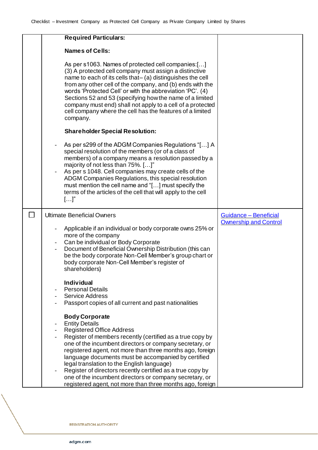| <b>Required Particulars:</b>                                                                                                                                                                                                                                                                                                                                                                                                                                                                            |                              |
|---------------------------------------------------------------------------------------------------------------------------------------------------------------------------------------------------------------------------------------------------------------------------------------------------------------------------------------------------------------------------------------------------------------------------------------------------------------------------------------------------------|------------------------------|
| <b>Names of Cells:</b>                                                                                                                                                                                                                                                                                                                                                                                                                                                                                  |                              |
| As per s1063. Names of protected cell companies:[]<br>(3) A protected cell company must assign a distinctive<br>name to each of its cells that- (a) distinguishes the cell<br>from any other cell of the company, and (b) ends with the<br>words 'Protected Cell' or with the abbreviation 'PC'. (4)<br>Sections 52 and 53 (specifying how the name of a limited<br>company must end) shall not apply to a cell of a protected<br>cell company where the cell has the features of a limited<br>company. |                              |
| <b>Shareholder Special Resolution:</b>                                                                                                                                                                                                                                                                                                                                                                                                                                                                  |                              |
| As per s299 of the ADGM Companies Regulations "[] A<br>special resolution of the members (or of a class of<br>members) of a company means a resolution passed by a<br>majority of not less than 75%. []"<br>As per s 1048. Cell companies may create cells of the<br>ADGM Companies Regulations, this special resolution<br>must mention the cell name and "[] must specify the<br>terms of the articles of the cell that will apply to the cell<br>$[]^n$                                              |                              |
| <b>Ultimate Beneficial Owners</b>                                                                                                                                                                                                                                                                                                                                                                                                                                                                       | Guidance - Beneficial        |
| Applicable if an individual or body corporate owns 25% or<br>more of the company<br>Can be individual or Body Corporate<br>Document of Beneficial Ownership Distribution (this can<br>be the body corporate Non-Cell Member's group chart or<br>body corporate Non-Cell Member's register of<br>shareholders)                                                                                                                                                                                           | <b>Ownership and Control</b> |
|                                                                                                                                                                                                                                                                                                                                                                                                                                                                                                         |                              |
| <b>Individual</b>                                                                                                                                                                                                                                                                                                                                                                                                                                                                                       |                              |
| <b>Personal Details</b>                                                                                                                                                                                                                                                                                                                                                                                                                                                                                 |                              |
| <b>Service Address</b><br>Passport copies of all current and past nationalities                                                                                                                                                                                                                                                                                                                                                                                                                         |                              |
| <b>Body Corporate</b><br><b>Entity Details</b>                                                                                                                                                                                                                                                                                                                                                                                                                                                          |                              |
| <b>Registered Office Address</b>                                                                                                                                                                                                                                                                                                                                                                                                                                                                        |                              |
| Register of members recently (certified as a true copy by<br>one of the incumbent directors or company secretary, or<br>registered agent, not more than three months ago, foreign<br>language documents must be accompanied by certified<br>legal translation to the English language)                                                                                                                                                                                                                  |                              |

**REGISTRATION AUTHORITY**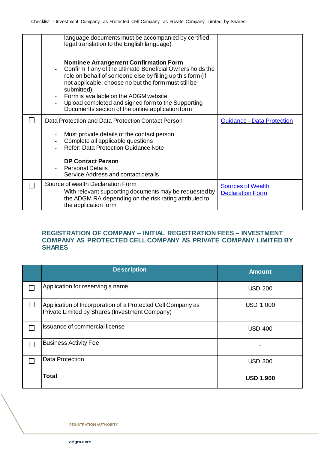| language documents must be accompanied by certified<br>legal translation to the English language)                                                                                                                                                                                                                                                                                          |                                   |
|--------------------------------------------------------------------------------------------------------------------------------------------------------------------------------------------------------------------------------------------------------------------------------------------------------------------------------------------------------------------------------------------|-----------------------------------|
| Nominee Arrangement Confirmation Form<br>Confirm if any of the Ultimate Beneficial Owners holds the<br>role on behalf of someone else by filling up this form (if<br>not applicable, choose no but the form must still be<br>submitted)<br>Form is available on the ADGM website<br>Upload completed and signed form to the Supporting<br>Documents section of the online application form |                                   |
| Data Protection and Data Protection Contact Person                                                                                                                                                                                                                                                                                                                                         | <b>Guidance - Data Protection</b> |
| Must provide details of the contact person<br>Complete all applicable questions<br><b>Refer: Data Protection Guidance Note</b>                                                                                                                                                                                                                                                             |                                   |
| <b>DP Contact Person</b><br><b>Personal Details</b><br>Service Address and contact details                                                                                                                                                                                                                                                                                                 |                                   |
| Source of wealth Declaration Form                                                                                                                                                                                                                                                                                                                                                          | <b>Sources of Wealth</b>          |

## **REGISTRATION OF COMPANY – INITIAL REGISTRATION FEES – INVESTMENT COMPANY AS PROTECTED CELL COMPANY AS PRIVATE COMPANY LIMITED BY SHARES**

| <b>Description</b>                                                                                            | <b>Amount</b>    |
|---------------------------------------------------------------------------------------------------------------|------------------|
| Application for reserving a name                                                                              | <b>USD 200</b>   |
| Application of Incorporation of a Protected Cell Company as<br>Private Limited by Shares (Investment Company) | <b>USD 1,000</b> |
| <b>Issuance of commercial license</b>                                                                         | <b>USD 400</b>   |
| <b>Business Activity Fee</b>                                                                                  |                  |
| <b>Data Protection</b>                                                                                        | <b>USD 300</b>   |
| <b>Total</b>                                                                                                  | <b>USD 1,900</b> |

**REGISTRATION AUTHORITY**